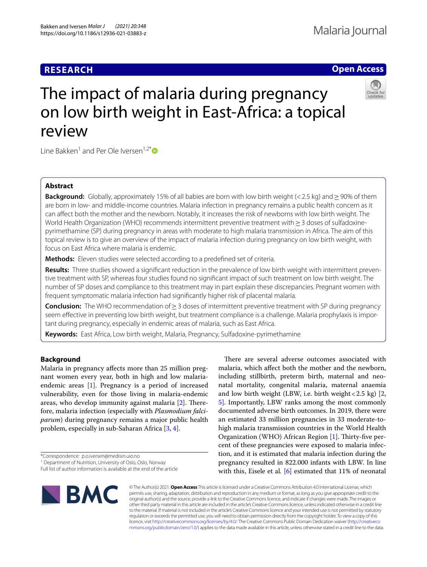# **RESEARCH**

# **Open Access**



# The impact of malaria during pregnancy on low birth weight in East-Africa: a topical review

Line Bakken<sup>1</sup> and Per Ole Iversen<sup>1,2[\\*](http://orcid.org/0000-0001-7153-0242)</sup>

# **Abstract**

**Background:** Globally, approximately 15% of all babies are born with low birth weight (<2.5 kg) and ≥90% of them are born in low- and middle-income countries. Malaria infection in pregnancy remains a public health concern as it can afect both the mother and the newborn. Notably, it increases the risk of newborns with low birth weight. The World Health Organization (WHO) recommends intermittent preventive treatment with > 3 doses of sulfadoxinepyrimethamine (SP) during pregnancy in areas with moderate to high malaria transmission in Africa. The aim of this topical review is to give an overview of the impact of malaria infection during pregnancy on low birth weight, with focus on East Africa where malaria is endemic.

**Methods:** Eleven studies were selected according to a predefned set of criteria.

**Results:** Three studies showed a signifcant reduction in the prevalence of low birth weight with intermittent preventive treatment with SP, whereas four studies found no signifcant impact of such treatment on low birth weight. The number of SP doses and compliance to this treatment may in part explain these discrepancies. Pregnant women with frequent symptomatic malaria infection had signifcantly higher risk of placental malaria.

**Conclusion:** The WHO recommendation of ≥ 3 doses of intermittent preventive treatment with SP during pregnancy seem efective in preventing low birth weight, but treatment compliance is a challenge. Malaria prophylaxis is important during pregnancy, especially in endemic areas of malaria, such as East Africa.

**Keywords:** East Africa, Low birth weight, Malaria, Pregnancy, Sulfadoxine-pyrimethamine

# **Background**

Malaria in pregnancy afects more than 25 million pregnant women every year, both in high and low malariaendemic areas [[1\]](#page-7-0). Pregnancy is a period of increased vulnerability, even for those living in malaria-endemic areas, who develop immunity against malaria  $[2]$  $[2]$ . Therefore, malaria infection (especially with *Plasmodium falciparum*) during pregnancy remains a major public health problem, especially in sub-Saharan Africa [[3,](#page-7-2) [4](#page-7-3)].

\*Correspondence: p.o.iversen@medisin.uio.no

There are several adverse outcomes associated with malaria, which afect both the mother and the newborn, including stillbirth, preterm birth, maternal and neonatal mortality, congenital malaria, maternal anaemia and low birth weight (LBW, i.e. birth weight <  $2.5$  kg) [\[2](#page-7-1), [5\]](#page-7-4). Importantly, LBW ranks among the most commonly documented adverse birth outcomes. In 2019, there were an estimated 33 million pregnancies in 33 moderate-tohigh malaria transmission countries in the World Health Organization (WHO) African Region [\[1](#page-7-0)]. Thirty-five percent of these pregnancies were exposed to malaria infection, and it is estimated that malaria infection during the pregnancy resulted in 822.000 infants with LBW. In line with this, Eisele et al*.* [\[6](#page-7-5)] estimated that 11% of neonatal



© The Author(s) 2021. **Open Access** This article is licensed under a Creative Commons Attribution 4.0 International License, which permits use, sharing, adaptation, distribution and reproduction in any medium or format, as long as you give appropriate credit to the original author(s) and the source, provide a link to the Creative Commons licence, and indicate if changes were made. The images or other third party material in this article are included in the article's Creative Commons licence, unless indicated otherwise in a credit line to the material. If material is not included in the article's Creative Commons licence and your intended use is not permitted by statutory regulation or exceeds the permitted use, you will need to obtain permission directly from the copyright holder. To view a copy of this licence, visit [http://creativecommons.org/licenses/by/4.0/.](http://creativecommons.org/licenses/by/4.0/) The Creative Commons Public Domain Dedication waiver ([http://creativeco](http://creativecommons.org/publicdomain/zero/1.0/) [mmons.org/publicdomain/zero/1.0/](http://creativecommons.org/publicdomain/zero/1.0/)) applies to the data made available in this article, unless otherwise stated in a credit line to the data.

<sup>&</sup>lt;sup>1</sup> Department of Nutrition, University of Oslo, Oslo, Norway

Full list of author information is available at the end of the article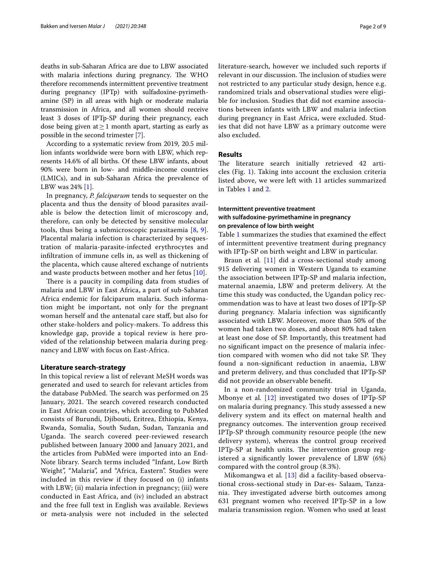deaths in sub-Saharan Africa are due to LBW associated with malaria infections during pregnancy. The WHO therefore recommends intermittent preventive treatment during pregnancy (IPTp) with sulfadoxine-pyrimethamine (SP) in all areas with high or moderate malaria transmission in Africa, and all women should receive least 3 doses of IPTp-SP during their pregnancy, each dose being given at  $\geq$  1 month apart, starting as early as possible in the second trimester [[7\]](#page-7-6).

According to a systematic review from 2019, 20.5 million infants worldwide were born with LBW, which represents 14.6% of all births. Of these LBW infants, about 90% were born in low- and middle-income countries (LMICs), and in sub-Saharan Africa the prevalence of LBW was 24% [\[1](#page-7-0)].

In pregnancy, *P. falciparum* tends to sequester on the placenta and thus the density of blood parasites available is below the detection limit of microscopy and, therefore, can only be detected by sensitive molecular tools, thus being a submicroscopic parasitaemia [\[8](#page-7-7), [9\]](#page-7-8). Placental malaria infection is characterized by sequestration of malaria-parasite-infected erythrocytes and infltration of immune cells in, as well as thickening of the placenta, which cause altered exchange of nutrients and waste products between mother and her fetus [[10](#page-7-9)].

There is a paucity in compiling data from studies of malaria and LBW in East Africa, a part of sub-Saharan Africa endemic for falciparum malaria. Such information might be important, not only for the pregnant woman herself and the antenatal care staf, but also for other stake-holders and policy-makers. To address this knowledge gap, provide a topical review is here provided of the relationship between malaria during pregnancy and LBW with focus on East-Africa.

#### **Literature search‑strategy**

In this topical review a list of relevant MeSH words was generated and used to search for relevant articles from the database PubMed. The search was performed on 25 January, 2021. The search covered research conducted in East African countries, which according to PubMed consists of Burundi, Djibouti, Eritrea, Ethiopia, Kenya, Rwanda, Somalia, South Sudan, Sudan, Tanzania and Uganda. The search covered peer-reviewed research published between January 2000 and January 2021, and the articles from PubMed were imported into an End-Note library. Search terms included "Infant, Low Birth Weight", "Malaria", and "Africa, Eastern". Studies were included in this review if they focused on (i) infants with LBW; (ii) malaria infection in pregnancy; (iii) were conducted in East Africa, and (iv) included an abstract and the free full text in English was available. Reviews or meta-analysis were not included in the selected literature-search, however we included such reports if relevant in our discussion. The inclusion of studies were not restricted to any particular study design, hence e.g. randomized trials and observational studies were eligible for inclusion. Studies that did not examine associations between infants with LBW and malaria infection during pregnancy in East Africa, were excluded. Studies that did not have LBW as a primary outcome were also excluded.

#### **Results**

The literature search initially retrieved 42 articles (Fig. [1\)](#page-2-0). Taking into account the exclusion criteria listed above, we were left with 11 articles summarized in Tables [1](#page-3-0) and [2](#page-4-0).

# **Intermittent preventive treatment with sulfadoxine‑pyrimethamine in pregnancy on prevalence of low birth weight**

Table [1](#page-3-0) summarizes the studies that examined the efect of intermittent preventive treatment during pregnancy with IPTp-SP on birth weight and LBW in particular.

Braun et al. [[11\]](#page-7-10) did a cross-sectional study among 915 delivering women in Western Uganda to examine the association between IPTp-SP and malaria infection, maternal anaemia, LBW and preterm delivery. At the time this study was conducted, the Ugandan policy recommendation was to have at least two doses of IPTp-SP during pregnancy. Malaria infection was signifcantly associated with LBW. Moreover, more than 50% of the women had taken two doses, and about 80% had taken at least one dose of SP. Importantly, this treatment had no signifcant impact on the presence of malaria infection compared with women who did not take SP. They found a non-signifcant reduction in anaemia, LBW and preterm delivery, and thus concluded that IPTp-SP did not provide an observable beneft.

In a non-randomized community trial in Uganda, Mbonye et al*.* [\[12](#page-7-11)] investigated two doses of IPTp-SP on malaria during pregnancy. This study assessed a new delivery system and its efect on maternal health and pregnancy outcomes. The intervention group received IPTp-SP through community resource people (the new delivery system), whereas the control group received IPTp-SP at health units. The intervention group registered a signifcantly lower prevalence of LBW (6%) compared with the control group (8.3%).

Mikomangwa et al*.* [[13](#page-7-12)] did a facility-based observational cross-sectional study in Dar-es- Salaam, Tanzania. They investigated adverse birth outcomes among 631 pregnant women who received IPTp-SP in a low malaria transmission region. Women who used at least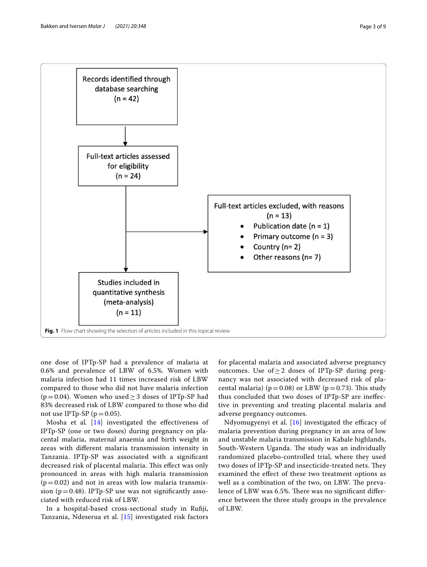



<span id="page-2-0"></span>one dose of IPTp-SP had a prevalence of malaria at 0.6% and prevalence of LBW of 6.5%. Women with malaria infection had 11 times increased risk of LBW compared to those who did not have malaria infection ( $p=0.04$ ). Women who used  $\geq$  3 doses of IPTp-SP had 83% decreased risk of LBW compared to those who did not use IPTp-SP ( $p=0.05$ ).

Mosha et al. [\[14](#page-7-13)] investigated the effectiveness of IPTp-SP (one or two doses) during pregnancy on placental malaria, maternal anaemia and birth weight in areas with diferent malaria transmission intensity in Tanzania. IPTp-SP was associated with a signifcant decreased risk of placental malaria. This effect was only pronounced in areas with high malaria transmission  $(p=0.02)$  and not in areas with low malaria transmission ( $p = 0.48$ ). IPTp-SP use was not significantly associated with reduced risk of LBW.

In a hospital-based cross-sectional study in Rufji, Tanzania, Ndeserua et al*.* [\[15](#page-7-14)] investigated risk factors for placental malaria and associated adverse pregnancy outcomes. Use of  $\geq 2$  doses of IPTp-SP during pregnancy was not associated with decreased risk of placental malaria) ( $p=0.08$ ) or LBW ( $p=0.73$ ). This study thus concluded that two doses of IPTp-SP are inefective in preventing and treating placental malaria and adverse pregnancy outcomes.

Ndyomugyenyi et al. [[16\]](#page-7-15) investigated the efficacy of malaria prevention during pregnancy in an area of low and unstable malaria transmission in Kabale highlands, South-Western Uganda. The study was an individually randomized placebo-controlled trial, where they used two doses of IPTp-SP and insecticide-treated nets. They examined the efect of these two treatment options as well as a combination of the two, on LBW. The prevalence of LBW was 6.5%. There was no significant difference between the three study groups in the prevalence of LBW.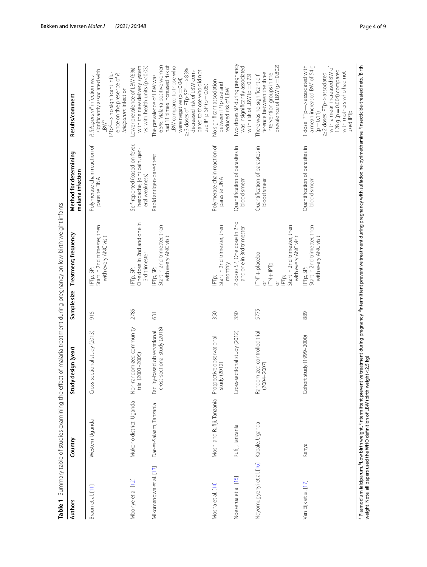<span id="page-3-0"></span>

| rts<br>ï<br>J<br>d<br>ì<br>Ò<br>ś<br>j<br>$\mathbf{r}$<br>۱<br>S<br>j<br>$\mathbf{I}$<br>Ì<br>֠                                                                          |
|--------------------------------------------------------------------------------------------------------------------------------------------------------------------------|
| Ï<br>¢<br>Ï<br>i<br>Š<br>⊼<br>J<br>Š<br>ī<br>۲<br>١<br>į<br>۱<br>֖֖֖֖֖֖֖֖֖֖֖֖֧֪֪֪֪֪֪֪֪֪֪֪֪֪֪֪֪֪֪֪֪֪֪֪֪֪֪֪֪ׅ֚֚֚֚֚֚֚֚֚֚֚֚֚֚֚֚֚֚֚֚֚֚֚֡֕֬֝֬֝֓֞֡֬֓֞֓֞֡֬֓֞֡֬֓֞֬֝֓֞֞֞<br>÷<br>ļ |
| $\overline{)}$<br>ׇ֚֬֓֡<br>l<br>٢<br>7<br>$\overline{\phantom{a}}$<br>Ó<br>j<br>İ<br>j<br>ų<br>ì<br>¢<br>ī<br>۱<br>l<br>ŕ<br>ī                                           |
| ļ<br>l<br>j<br>Ì<br>j<br>1<br>ï<br>l<br>j<br>¢<br>Ì<br>֚֬֕<br>١<br>I<br>ļ                                                                                                |
| ļ<br>į<br>1<br>Ò<br>ׇ֖֚֘֝֝֬<br>í<br>$\overline{\phantom{a}}$<br>ì<br>ׇ֘֒<br>i<br>١<br>l<br>)<br>$\overline{\phantom{a}}$<br>í<br>٢                                       |
| man<br>5<br>-<br>-<br>-<br>-<br>-<br>-<br>-<br>5<br>$\tilde{2}$<br>I<br>j<br>Table 1                                                                                     |

|                          | Country                    | ly design (year)<br>Stud                                     | Sample size | Treatment; frequency                                                                                                                         | Method for determining<br>malaria infection                                    | Results/comment                                                                                                                                                                                                                                                                                   |
|--------------------------|----------------------------|--------------------------------------------------------------|-------------|----------------------------------------------------------------------------------------------------------------------------------------------|--------------------------------------------------------------------------------|---------------------------------------------------------------------------------------------------------------------------------------------------------------------------------------------------------------------------------------------------------------------------------------------------|
| Braun et al. [11]        | Western Uganda             | Cross-sectional study (2013)                                 | 915         | Start in 2nd trimester, then<br>with every ANC visit<br>IPT <sub>p</sub> , SP;                                                               | Polymerase chain reaction of<br>parasite DNA                                   | significantly associated with<br>IPTp <sup>c</sup> —> no significant influ-<br>ence on the presence of P.<br>P. falciparum <sup>a</sup> infection was<br>falciparum infection<br>LBW <sup>b</sup>                                                                                                 |
| Mbonye et al. [12]       | Mukono district, Uganda    | Non-randomized community<br>trial (2003-2005)                | 2785        | One dose in 2nd and one in<br>3rd trimester<br>IPTp, SP;                                                                                     | Self-reported (based on fever,<br>headache, joint pain, gen-<br>eral weakness) | vs. with health units (p < 0.03)<br>with the new delivery system<br>Lower prevalence of LBW (6%)                                                                                                                                                                                                  |
| Mikomangwa et al. [13]   | Dar-es-Salaam, Tanzania    | cross-sectional study (2018)<br>Facility-based observational | 631         | Start in 2nd trimester, then<br>with every ANC visit<br>IPTp, SP;                                                                            | Rapid antigen-based test                                                       | had 11 times increased risk of<br>6.5%. Malaria positive women<br>LBW compared to those who<br>$\geq$ 3 doses of IPTp-SP <sup>d</sup> $-$ >83%<br>pared to those who did not<br>decreased risk of LBW com-<br>The prevalence of LBW was<br>were negative (p = 0.04)<br>use IPTp-SP ( $p = 0.05$ ) |
| Mosha et al. [14]        | Moshi and Rufiji, Tanzania | Prospective observational<br>study (2012)                    | 350         | Start in 2nd trimester, then<br>monthly<br>IPT <sub>D</sub> ;                                                                                | Polymerase chain reaction of<br>parasite DNA                                   | No significant association<br>between IPTp use and<br>reduced risk of LBW                                                                                                                                                                                                                         |
| Ndeserua et al. [15]     | Rufiji, Tanzania           | Cross-sectional study (2012)                                 | 350         | 2 doses SP; One dose in 2nd<br>and one in 3rd trimester                                                                                      | Quantification of parasites in<br>blood smear                                  | Two doses SP during pregnancy<br>was insignificantly associated<br>with risk of LBW $(p = 0.73)$                                                                                                                                                                                                  |
| Ndyomugyenyi et al. [16] | Kabale, Uganda             | Randomized controlled trial<br>$(2004 - 2007)$               | 5775        | Start in 2nd trimester, then<br>with every ANC visit<br>TN <sup>e</sup> +placebo<br>$T N + P T P$<br>$\mathbb{P}$ Tp;<br>$\overline{5}$<br>ŏ | Quantification of parasites in<br>blood smear                                  | prevalence of LBW (p=0.802)<br>ference between the three<br>intervention groups in the<br>There was no significant dif-                                                                                                                                                                           |
| Van Eijk et al. [17]     | Kenya                      | Cohort study (1999-2000)                                     | 889         | Start in 2nd trimester, then<br>with every ANC visit<br>IPT <sub>p</sub> , SP;                                                               | Quantification of parasites in<br>blood smear                                  | I dose IPTp—>associated with<br>a mean increased BW <sup>F</sup> of 54 q<br>with a mean increased BW of<br>$128 g(p=0.004)$ compared<br>with mothers who had not<br>> 2 doses IPTp- > associated<br>used IPTp<br>$(p = 0.11)$                                                                     |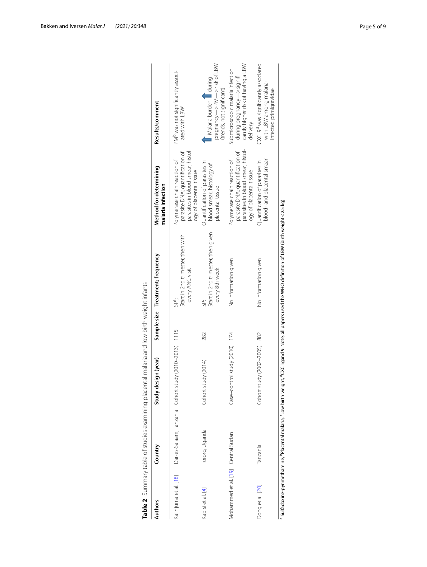| Authors                            | Country        | Study design (year)                                   |     | Sample size Treatment; frequency                                                                                                                                     | Method for determining<br>malaria infection                                                                                     | Results/comment                                                                                                 |
|------------------------------------|----------------|-------------------------------------------------------|-----|----------------------------------------------------------------------------------------------------------------------------------------------------------------------|---------------------------------------------------------------------------------------------------------------------------------|-----------------------------------------------------------------------------------------------------------------|
| Kalinjuma et al. [18]              |                | Dar-es-Salaam, Tanzania Cohort study (2010–2013) 1115 |     | Start in 2nd trimester, then with<br>every ANC visit<br>SPª.                                                                                                         | parasites in blood smear; histol-<br>parasite DNA; quantification of<br>Polymerase chain reaction of<br>ogy of placental tissue | PM <sup>b</sup> was not significantly associ-<br>ated with LBW <sup>c</sup>                                     |
| Kapisi et al. [4]                  | Tororo, Uganda | Cohort study (2014)                                   | 282 | Start in 2nd trimester, then given<br>every 8th week                                                                                                                 | Quantification of parasites in<br>blood smear; histology of<br>placental tissue                                                 | pregnancy->PM->risk of LBW<br>Malaria burden during<br>(trends, not significant)                                |
| Mohammed et al. [19] Central Sudan |                | Case-control study (2010) 174                         |     | No information given                                                                                                                                                 | parasites in blood smear; histol-<br>parasite DNA; quantification of<br>Polymerase chain reaction of<br>ogy of placental tissue | cantly higher risk of having a LBW<br>Submicroscopic malaria infection<br>during pregnancy->signih-<br>delivery |
| Dong et al. [20]                   | Tanzania       | Cohort study (2002-2005) 882                          |     | No information given                                                                                                                                                 | blood- and placental smear<br>Quantification of parasites in                                                                    | CXCL9 <sup>d</sup> was significantly associated<br>with LBW among malaria-<br>infected primigravidae            |
|                                    |                |                                                       |     | Sulfadoxine-pyrimethamine, <sup>p</sup> Placental malaria, 'Low birth weight, 'CXC ligand 9. Note, all papers used the WHO definition of LBW (birth weight < 2.5 kg) |                                                                                                                                 |                                                                                                                 |

<span id="page-4-0"></span>

| ţ                                                                                       |  |
|-----------------------------------------------------------------------------------------|--|
|                                                                                         |  |
|                                                                                         |  |
|                                                                                         |  |
|                                                                                         |  |
|                                                                                         |  |
|                                                                                         |  |
| <b>Alle 2</b> Summary table of studies examining placental malaria and low birth weiner |  |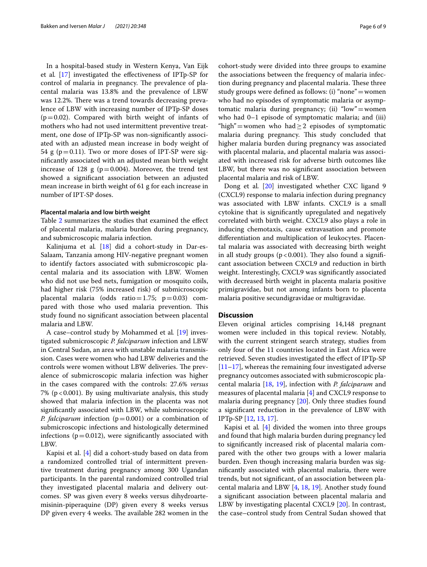In a hospital-based study in Western Kenya, Van Eijk et al*.* [\[17](#page-7-16)] investigated the efectiveness of IPTp-SP for control of malaria in pregnancy. The prevalence of placental malaria was 13.8% and the prevalence of LBW was 12.2%. There was a trend towards decreasing prevalence of LBW with increasing number of IPTp-SP doses  $(p=0.02)$ . Compared with birth weight of infants of mothers who had not used intermittent preventive treatment, one dose of IPTp-SP was non-signifcantly associated with an adjusted mean increase in body weight of 54  $g$  (p=0.11). Two or more doses of IPT-SP were signifcantly associated with an adjusted mean birth weight increase of 128  $g$  ( $p=0.004$ ). Moreover, the trend test showed a signifcant association between an adjusted mean increase in birth weight of 61 g for each increase in number of IPT-SP doses.

#### **Placental malaria and low birth weight**

Table [2](#page-4-0) summarizes the studies that examined the efect of placental malaria, malaria burden during pregnancy, and submicroscopic malaria infection.

Kalinjuma et al*.* [\[18](#page-7-17)] did a cohort-study in Dar-es-Salaam, Tanzania among HIV-negative pregnant women to identify factors associated with submicroscopic placental malaria and its association with LBW. Women who did not use bed nets, fumigation or mosquito coils, had higher risk (75% increased risk) of submicroscopic placental malaria (odds ratio=1.75;  $p=0.03$ ) compared with those who used malaria prevention. This study found no signifcant association between placental malaria and LBW.

A case–control study by Mohammed et al*.* [[19\]](#page-7-18) investigated submicroscopic *P. falciparum* infection and LBW in Central Sudan, an area with unstable malaria transmission. Cases were women who had LBW deliveries and the controls were women without LBW deliveries. The prevalence of submicroscopic malaria infection was higher in the cases compared with the controls: 27.6% *versus* 7% ( $p < 0.001$ ). By using multivariate analysis, this study showed that malaria infection in the placenta was not signifcantly associated with LBW, while submicroscopic *P. falciparum* infection (p=0.001) or a combination of submicroscopic infections and histologically determined infections ( $p=0.012$ ), were significantly associated with LBW.

Kapisi et al. [\[4](#page-7-3)] did a cohort-study based on data from a randomized controlled trial of intermittent preventive treatment during pregnancy among 300 Ugandan participants. In the parental randomized controlled trial they investigated placental malaria and delivery outcomes. SP was given every 8 weeks versus dihydroartemisinin-piperaquine (DP) given every 8 weeks versus DP given every 4 weeks. The available 282 women in the cohort-study were divided into three groups to examine the associations between the frequency of malaria infection during pregnancy and placental malaria. These three study groups were defned as follows: (i) "none"=women who had no episodes of symptomatic malaria or asymptomatic malaria during pregnancy; (ii) "low"=women who had 0–1 episode of symptomatic malaria; and (iii) "high"=women who had $\geq$ 2 episodes of symptomatic malaria during pregnancy. This study concluded that higher malaria burden during pregnancy was associated with placental malaria, and placental malaria was associated with increased risk for adverse birth outcomes like LBW, but there was no signifcant association between placental malaria and risk of LBW.

Dong et al*.* [\[20](#page-8-0)] investigated whether CXC ligand 9 (CXCL9) response to malaria infection during pregnancy was associated with LBW infants. CXCL9 is a small cytokine that is signifcantly upregulated and negatively correlated with birth weight. CXCL9 also plays a role in inducing chemotaxis, cause extravasation and promote diferentiation and multiplication of leukocytes. Placental malaria was associated with decreasing birth weight in all study groups ( $p < 0.001$ ). They also found a significant association between CXCL9 and reduction in birth weight. Interestingly, CXCL9 was signifcantly associated with decreased birth weight in placenta malaria positive primigravidae, but not among infants born to placenta malaria positive secundigravidae or multigravidae.

#### **Discussion**

Eleven original articles comprising 14,148 pregnant women were included in this topical review. Notably, with the current stringent search strategy, studies from only four of the 11 countries located in East Africa were retrieved. Seven studies investigated the efect of IPTp-SP [[11–](#page-7-10)[17\]](#page-7-16), whereas the remaining four investigated adverse pregnancy outcomes associated with submicroscopic placental malaria [[18,](#page-7-17) [19\]](#page-7-18), infection with *P. falciparum* and measures of placental malaria [[4\]](#page-7-3) and CXCL9 response to malaria during pregnancy [\[20](#page-8-0)]. Only three studies found a signifcant reduction in the prevalence of LBW with IPTp-SP [[12,](#page-7-11) [13](#page-7-12), [17](#page-7-16)].

Kapisi et al*.* [\[4](#page-7-3)] divided the women into three groups and found that high malaria burden during pregnancy led to signifcantly increased risk of placental malaria compared with the other two groups with a lower malaria burden. Even though increasing malaria burden was signifcantly associated with placental malaria, there were trends, but not signifcant, of an association between placental malaria and LBW [\[4](#page-7-3), [18,](#page-7-17) [19\]](#page-7-18). Another study found a signifcant association between placental malaria and LBW by investigating placental CXCL9 [[20\]](#page-8-0). In contrast, the case–control study from Central Sudan showed that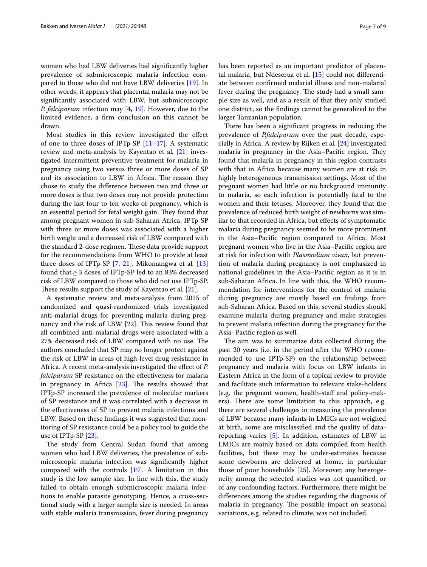women who had LBW deliveries had signifcantly higher prevalence of submicroscopic malaria infection compared to those who did not have LBW deliveries [[19](#page-7-18)]. In other words, it appears that placental malaria may not be signifcantly associated with LBW, but submicroscopic *P. falciparum* infection may [[4,](#page-7-3) [19\]](#page-7-18). However, due to the limited evidence, a frm conclusion on this cannot be drawn.

Most studies in this review investigated the efect of one to three doses of IPTp-SP  $[11-17]$  $[11-17]$  $[11-17]$ . A systematic review and meta-analysis by Kayentao et al*.* [\[21](#page-8-1)] investigated intermittent preventive treatment for malaria in pregnancy using two versus three or more doses of SP and its association to LBW in Africa. The reason they chose to study the diference between two and three or more doses is that two doses may not provide protection during the last four to ten weeks of pregnancy, which is an essential period for fetal weight gain. They found that among pregnant women in sub-Saharan Africa, IPTp-SP with three or more doses was associated with a higher birth weight and a decreased risk of LBW compared with the standard 2-dose regimen. These data provide support for the recommendations from WHO to provide at least three doses of IPTp-SP [\[7](#page-7-6), [21\]](#page-8-1). Mikomangwa et al*.* [[13](#page-7-12)] found that≥3 doses of IPTp-SP led to an 83% decreased risk of LBW compared to those who did not use IPTp-SP. These results support the study of Kayentao et al. [[21\]](#page-8-1).

A systematic review and meta-analysis from 2015 of randomized and quasi-randomized trials investigated anti-malarial drugs for preventing malaria during pregnancy and the risk of LBW  $[22]$  $[22]$ . This review found that all combined anti-malarial drugs were associated with a 27% decreased risk of LBW compared with no use. The authors concluded that SP may no longer protect against the risk of LBW in areas of high-level drug resistance in Africa. A recent meta-analysis investigated the efect of *P. falciparum* SP resistance on the effectiveness for malaria in pregnancy in Africa  $[23]$  $[23]$ . The results showed that IPTp-SP increased the prevalence of molecular markers of SP resistance and it was correlated with a decrease in the efectiveness of SP to prevent malaria infections and LBW. Based on these fndings it was suggested that monitoring of SP resistance could be a policy tool to guide the use of IPTp-SP [\[23](#page-8-3)].

The study from Central Sudan found that among women who had LBW deliveries, the prevalence of submicroscopic malaria infection was signifcantly higher compared with the controls [\[19](#page-7-18)]. A limitation in this study is the low sample size. In line with this, the study failed to obtain enough submicroscopic malaria infections to enable parasite genotyping. Hence, a cross-sectional study with a larger sample size is needed. In areas with stable malaria transmission, fever during pregnancy

has been reported as an important predictor of placental malaria, but Ndeserua et al*.* [\[15\]](#page-7-14) could not diferentiate between confrmed malarial illness and non-malarial fever during the pregnancy. The study had a small sample size as well, and as a result of that they only studied one district, so the fndings cannot be generalized to the larger Tanzanian population.

There has been a significant progress in reducing the prevalence of *P.falciparum* over the past decade, especially in Africa. A review by Rijken et al*.* [\[24](#page-8-4)] investigated malaria in pregnancy in the Asia-Pacific region. They found that malaria in pregnancy in this region contrasts with that in Africa because many women are at risk in highly heterogeneous transmission settings. Most of the pregnant women had little or no background immunity to malaria, so each infection is potentially fatal to the women and their fetuses. Moreover, they found that the prevalence of reduced birth weight of newborns was similar to that recorded in Africa, but efects of symptomatic malaria during pregnancy seemed to be more prominent in the Asia–Pacifc region compared to Africa. Most pregnant women who live in the Asia–Pacifc region are at risk for infection with *Plasmodium vivax*, but prevention of malaria during pregnancy is not emphasized in national guidelines in the Asia–Pacifc region as it is in sub-Saharan Africa. In line with this, the WHO recommendation for interventions for the control of malaria during pregnancy are mostly based on fndings from sub-Saharan Africa. Based on this, several studies should examine malaria during pregnancy and make strategies to prevent malaria infection during the pregnancy for the Asia–Pacifc region as well.

The aim was to summarize data collected during the past 20 years (i.e. in the period after the WHO recommended to use IPTp-SP) on the relationship between pregnancy and malaria with focus on LBW infants in Eastern Africa in the form of a topical review to provide and facilitate such information to relevant stake-holders (e.g. the pregnant women, health-staf and policy-makers). There are some limitation to this approach, e.g. there are several challenges in measuring the prevalence of LBW because many infants in LMICs are not weighed at birth, some are misclassifed and the quality of datareporting varies [[5\]](#page-7-4). In addition, estimates of LBW in LMICs are mainly based on data compiled from health facilities, but these may be under-estimates because some newborns are delivered at home, in particular those of poor households [[25\]](#page-8-5). Moreover, any heterogeneity among the selected studies was not quantifed, or of any confounding factors. Furthermore, there might be diferences among the studies regarding the diagnosis of malaria in pregnancy. The possible impact on seasonal variations, e.g. related to climate, was not included.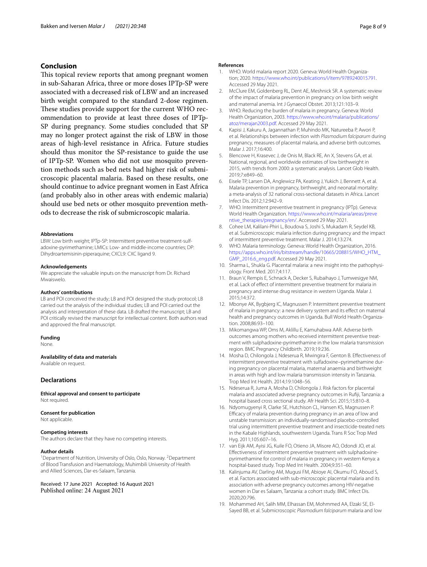## **Conclusion**

This topical review reports that among pregnant women in sub-Saharan Africa, three or more doses IPTp-SP were associated with a decreased risk of LBW and an increased birth weight compared to the standard 2-dose regimen. These studies provide support for the current WHO recommendation to provide at least three doses of IPTp-SP during pregnancy. Some studies concluded that SP may no longer protect against the risk of LBW in those areas of high-level resistance in Africa. Future studies should thus monitor the SP-resistance to guide the use of IPTp-SP. Women who did not use mosquito prevention methods such as bed nets had higher risk of submicroscopic placental malaria. Based on these results, one should continue to advice pregnant women in East Africa (and probably also in other areas with endemic malaria) should use bed nets or other mosquito prevention methods to decrease the risk of submicroscopic malaria.

#### **Abbreviations**

LBW: Low birth weight; IPTp-SP: Intermittent preventive treatment-sulfadoxine-pyrimethamine; LMICs: Low- and middle-income countries; DP: Dihydroartemisinin-piperaquine; CXCL9: CXC ligand 9.

#### **Acknowledgements**

We appreciate the valuable inputs on the manuscript from Dr. Richard Mwaiswelo.

#### **Authors' contributions**

LB and POI conceived the study; LB and POI designed the study protocol; LB carried out the analysis of the individual studies; LB and POI carried out the analysis and interpretation of these data. LB drafted the manuscript; LB and POI critically revised the manuscript for intellectual content. Both authors read and approved the fnal manuscript.

#### **Funding**

None.

#### **Availability of data and materials**

Available on request.

#### **Declarations**

**Ethical approval and consent to participate** Not required.

## **Consent for publication**

Not applicable.

## **Competing interests**

The authors declare that they have no competing interests.

#### **Author details**

<sup>1</sup> Department of Nutrition, University of Oslo, Oslo, Norway. <sup>2</sup> Department of Blood Transfusion and Haematology, Muhimbili University of Health and Allied Sciences, Dar-es-Salaam, Tanzania.

Received: 17 June 2021 Accepted: 16 August 2021 Published online: 24 August 2021

#### **References**

- <span id="page-7-0"></span>1. WHO. World malaria report 2020. Geneva: World Health Organization; 2020.<https://www.who.int/publications/i/item/9789240015791>. Accessed 29 May 2021.
- <span id="page-7-1"></span>2. McClure EM, Goldenberg RL, Dent AE, Meshnick SR. A systematic review of the impact of malaria prevention in pregnancy on low birth weight and maternal anemia. Int J Gynaecol Obstet. 2013;121:103–9.
- <span id="page-7-2"></span>3. WHO. Reducing the burden of malaria in pregnancy. Geneva: World Health Organization, 2003. [https://www.who.int/malaria/publications/](https://www.who.int/malaria/publications/atoz/merajan2003.pdf) [atoz/merajan2003.pdf](https://www.who.int/malaria/publications/atoz/merajan2003.pdf). Accessed 29 May 2021.
- <span id="page-7-3"></span>4. Kapisi J, Kakuru A, Jagannathan P, Muhindo MK, Natureeba P, Awori P, et al. Relationships between infection with *Plasmodium falciparum* during pregnancy, measures of placental malaria, and adverse birth outcomes. Malar J. 2017;16:400.
- <span id="page-7-4"></span>5. Blencowe H, Krasevec J, de Onis M, Black RE, An X, Stevens GA, et al. National, regional, and worldwide estimates of low birthweight in 2015, with trends from 2000: a systematic analysis. Lancet Glob Health. 2019;7:e849–60.
- <span id="page-7-5"></span>6. Eisele TP, Larsen DA, Anglewicz PA, Keating J, Yukich J, Bennett A, et al. Malaria prevention in pregnancy, birthweight, and neonatal mortality: a meta-analysis of 32 national cross-sectional datasets in Africa. Lancet Infect Dis. 2012;12:942–9.
- <span id="page-7-6"></span>7. WHO. Intermittent preventive treatment in pregnancy (IPTp). Geneva: World Health Organization. [https://www.who.int/malaria/areas/preve](https://www.who.int/malaria/areas/preventive_therapies/pregnancy/en/) [ntive\\_therapies/pregnancy/en/.](https://www.who.int/malaria/areas/preventive_therapies/pregnancy/en/) Accessed 29 May 2021.
- <span id="page-7-7"></span>8. Cohee LM, Kalilani-Phiri L, Boudova S, Joshi S, Mukadam R, Seydel KB, et al. Submicroscopic malaria infection during pregnancy and the impact of intermittent preventive treatment. Malar J. 2014;13:274.
- <span id="page-7-8"></span>9. WHO. Malaria terminology. Geneva: World Health Organization, 2016. [https://apps.who.int/iris/bitstream/handle/10665/208815/WHO\\_HTM\\_](https://apps.who.int/iris/bitstream/handle/10665/208815/WHO_HTM_GMP_2016.6_eng.pdf) [GMP\\_2016.6\\_eng.pdf](https://apps.who.int/iris/bitstream/handle/10665/208815/WHO_HTM_GMP_2016.6_eng.pdf). Accessed 29 May 2021.
- <span id="page-7-9"></span>10. Sharma L, Shukla G. Placental malaria: a new insight into the pathophysiology. Front Med. 2017;4:117.
- <span id="page-7-10"></span>11. Braun V, Rempis E, Schnack A, Decker S, Rubaihayo J, Tumwesigye NM, et al. Lack of efect of intermittent preventive treatment for malaria in pregnancy and intense drug resistance in western Uganda. Malar J. 2015;14:372.
- <span id="page-7-11"></span>12. Mbonye AK, Bygbjerg IC, Magnussen P. Intermittent preventive treatment of malaria in pregnancy: a new delivery system and its efect on maternal health and pregnancy outcomes in Uganda. Bull World Health Organization. 2008;86:93–100.
- <span id="page-7-12"></span>13. Mikomangwa WP, Oms M, Aklillu E, Kamuhabwa AAR. Adverse birth outcomes among mothers who received intermittent preventive treatment with sulphadoxine-pyrimethamine in the low malaria transmission region. BMC Pregnancy Childbirth. 2019;19:236.
- <span id="page-7-13"></span>14. Mosha D, Chilongola J, Ndeserua R, Mwingira F, Genton B. Efectiveness of intermittent preventive treatment with sulfadoxine–pyrimethamine during pregnancy on placental malaria, maternal anaemia and birthweight in areas with high and low malaria transmission intensity in Tanzania. Trop Med Int Health. 2014;19:1048–56.
- <span id="page-7-14"></span>15. Ndeserua R, Juma A, Mosha D, Chilongola J. Risk factors for placental malaria and associated adverse pregnancy outcomes in Rufji, Tanzania: a hospital based cross sectional study. Afr Health Sci. 2015;15:810–8.
- <span id="page-7-15"></span>16. Ndyomugyenyi R, Clarke SE, Hutchison CL, Hansen KS, Magnussen P. Efficacy of malaria prevention during pregnancy in an area of low and unstable transmission: an individually-randomised placebo-controlled trial using intermittent preventive treatment and insecticide-treated nets in the Kabale Highlands, southwestern Uganda. Trans R Soc Trop Med Hyg. 2011;105:607–16.
- <span id="page-7-16"></span>17. van Eijk AM, Ayisi JG, Kuile FO, Otieno JA, Misore AO, Odondi JO, et al. Efectiveness of intermittent preventive treatment with sulphadoxinepyrimethamine for control of malaria in pregnancy in western Kenya: a hospital-based study. Trop Med Int Health. 2004;9:351–60.
- <span id="page-7-17"></span>18. Kalinjuma AV, Darling AM, Mugusi FM, Abioye AI, Okumu FO, Aboud S, et al. Factors associated with sub-microscopic placental malaria and its association with adverse pregnancy outcomes among HIV-negative women in Dar es Salaam, Tanzania: a cohort study. BMC Infect Dis. 2020;20:796.
- <span id="page-7-18"></span>19. Mohammed AH, Salih MM, Elhassan EM, Mohmmed AA, Elzaki SE, El-Sayed BB, et al. Submicroscopic *Plasmodium falciparum* malaria and low